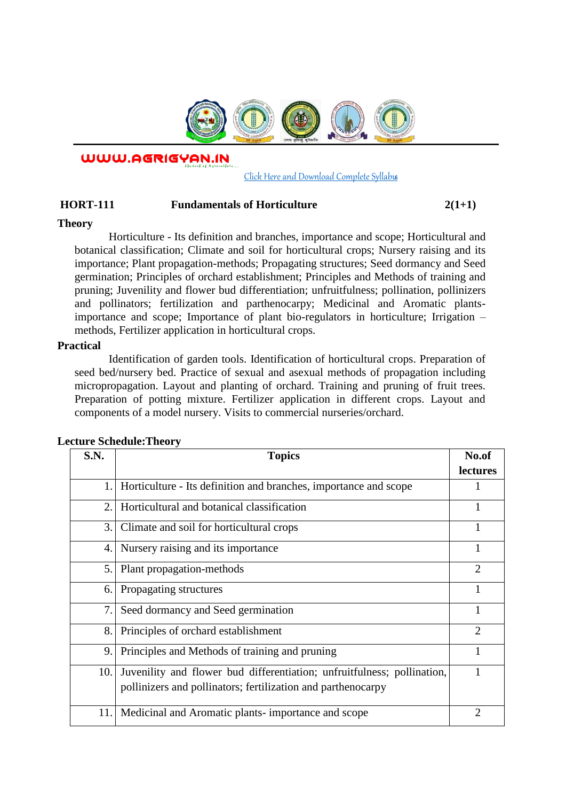

WWW.AGRIGYAN.IN

[Click Here and Download Complete Syllabus](http://agrigyan.in/)

## **HORT-111 Fundamentals of Horticulture 2(1+1)**

## **Theory**

 $\overline{a}$ 

Horticulture - Its definition and branches, importance and scope; Horticultural and botanical classification; Climate and soil for horticultural crops; Nursery raising and its importance; Plant propagation-methods; Propagating structures; Seed dormancy and Seed germination; Principles of orchard establishment; Principles and Methods of training and pruning; Juvenility and flower bud differentiation; unfruitfulness; pollination, pollinizers and pollinators; fertilization and parthenocarpy; Medicinal and Aromatic plantsimportance and scope; Importance of plant bio-regulators in horticulture; Irrigation – methods, Fertilizer application in horticultural crops.

#### **Practical**

Identification of garden tools. Identification of horticultural crops. Preparation of seed bed/nursery bed. Practice of sexual and asexual methods of propagation including micropropagation. Layout and planting of orchard. Training and pruning of fruit trees. Preparation of potting mixture. Fertilizer application in different crops. Layout and components of a model nursery. Visits to commercial nurseries/orchard.

| <b>S.N.</b> | <b>Topics</b>                                                                                                                           | No.of          |
|-------------|-----------------------------------------------------------------------------------------------------------------------------------------|----------------|
|             |                                                                                                                                         | lectures       |
| 1.          | Horticulture - Its definition and branches, importance and scope                                                                        |                |
| 2.          | Horticultural and botanical classification                                                                                              |                |
| 3.          | Climate and soil for horticultural crops                                                                                                |                |
| 4.          | Nursery raising and its importance                                                                                                      |                |
| 5.1         | Plant propagation-methods                                                                                                               | $\overline{2}$ |
| 6.          | Propagating structures                                                                                                                  |                |
| 7.          | Seed dormancy and Seed germination                                                                                                      | 1              |
| 8.          | Principles of orchard establishment                                                                                                     | $\overline{2}$ |
| 9.          | Principles and Methods of training and pruning                                                                                          | 1              |
| 10.         | Juvenility and flower bud differentiation; unfruitfulness; pollination,<br>pollinizers and pollinators; fertilization and parthenocarpy |                |
| 11.         | Medicinal and Aromatic plants- importance and scope                                                                                     | $\overline{2}$ |

## **Lecture Schedule:Theory**